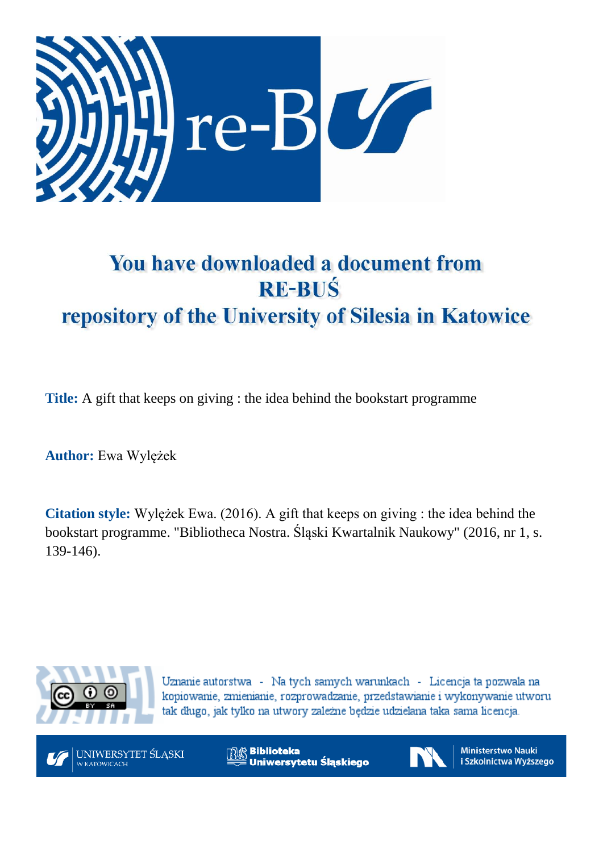

## You have downloaded a document from **RE-BUŚ** repository of the University of Silesia in Katowice

**Title:** A gift that keeps on giving : the idea behind the bookstart programme

**Author:** Ewa Wylężek

**Citation style:** Wylężek Ewa. (2016). A gift that keeps on giving : the idea behind the bookstart programme. "Bibliotheca Nostra. Śląski Kwartalnik Naukowy" (2016, nr 1, s. 139-146).



Uznanie autorstwa - Na tych samych warunkach - Licencja ta pozwala na kopiowanie, zmienianie, rozprowadzanie, przedstawianie i wykonywanie utworu tak długo, jak tylko na utwory zależne będzie udzielana taka sama licencja.



**Biblioteka** Uniwersytetu Śląskiego



**Ministerstwo Nauki** i Szkolnictwa Wyższego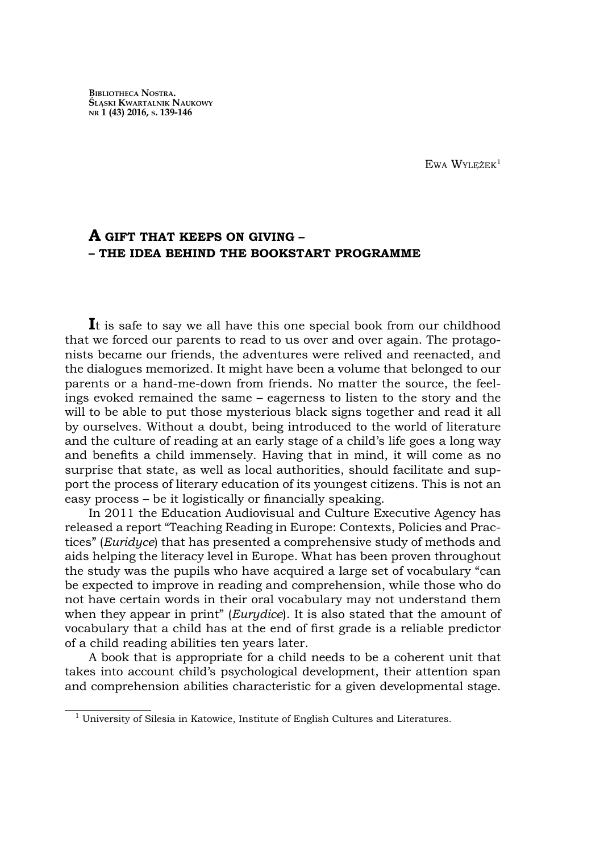EWA WYLEŻEK<sup>1</sup>

## **A GIFT THAT KEEPS ON GIVING – – THE IDEA BEHIND THE BOOKSTART PROGRAMME**

It is safe to say we all have this one special book from our childhood that we forced our parents to read to us over and over again. The protagonists became our friends, the adventures were relived and reenacted, and the dialogues memorized. It might have been a volume that belonged to our parents or a hand-me-down from friends. No matter the source, the feelings evoked remained the same – eagerness to listen to the story and the will to be able to put those mysterious black signs together and read it all by ourselves. Without a doubt, being introduced to the world of literature and the culture of reading at an early stage of a child's life goes a long way and benefits a child immensely. Having that in mind, it will come as no surprise that state, as well as local authorities, should facilitate and support the process of literary education of its youngest citizens. This is not an easy process – be it logistically or financially speaking.

In 2011 the Education Audiovisual and Culture Executive Agency has released a report "Teaching Reading in Europe: Contexts, Policies and Practices" (*Euridyce*) that has presented a comprehensive study of methods and aids helping the literacy level in Europe. What has been proven throughout the study was the pupils who have acquired a large set of vocabulary "can be expected to improve in reading and comprehension, while those who do not have certain words in their oral vocabulary may not understand them when they appear in print" (*Eurydice*). It is also stated that the amount of vocabulary that a child has at the end of first grade is a reliable predictor of a child reading abilities ten years later.

A book that is appropriate for a child needs to be a coherent unit that takes into account child's psychological development, their attention span and comprehension abilities characteristic for a given developmental stage.

 $1$  University of Silesia in Katowice, Institute of English Cultures and Literatures.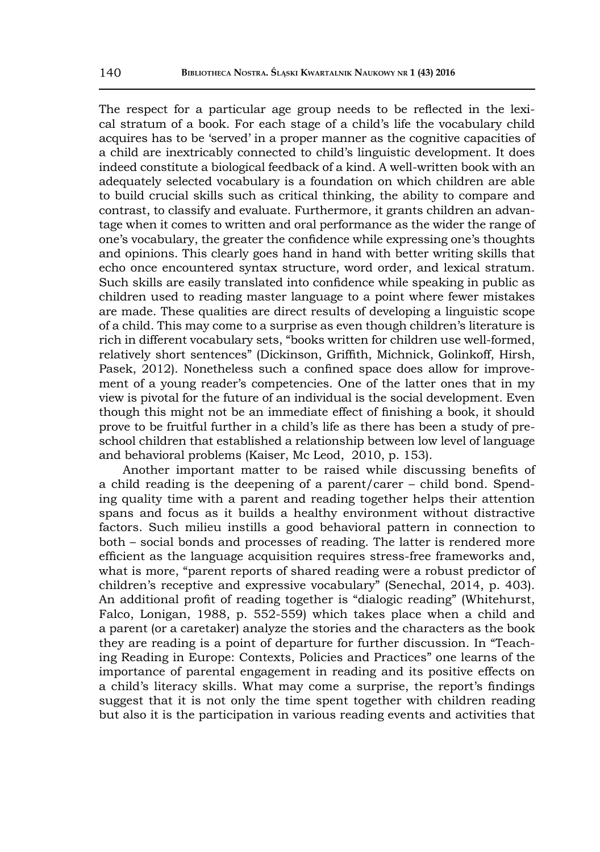The respect for a particular age group needs to be reflected in the lexical stratum of a book. For each stage of a child's life the vocabulary child acquires has to be 'served' in a proper manner as the cognitive capacities of a child are inextricably connected to child's linguistic development. It does indeed constitute a biological feedback of a kind. A well-written book with an adequately selected vocabulary is a foundation on which children are able to build crucial skills such as critical thinking, the ability to compare and contrast, to classify and evaluate. Furthermore, it grants children an advantage when it comes to written and oral performance as the wider the range of one's vocabulary, the greater the confidence while expressing one's thoughts and opinions. This clearly goes hand in hand with better writing skills that echo once encountered syntax structure, word order, and lexical stratum. Such skills are easily translated into confidence while speaking in public as children used to reading master language to a point where fewer mistakes are made. These qualities are direct results of developing a linguistic scope of a child. This may come to a surprise as even though children's literature is rich in different vocabulary sets, "books written for children use well-formed, relatively short sentences" (Dickinson, Griffith, Michnick, Golinkoff, Hirsh, Pasek, 2012). Nonetheless such a confined space does allow for improvement of a young reader's competencies. One of the latter ones that in my view is pivotal for the future of an individual is the social development. Even though this might not be an immediate effect of finishing a book, it should prove to be fruitful further in a child's life as there has been a study of preschool children that established a relationship between low level of language and behavioral problems (Kaiser, Mc Leod, 2010, p. 153).

Another important matter to be raised while discussing benefits of a child reading is the deepening of a parent/carer – child bond. Spending quality time with a parent and reading together helps their attention spans and focus as it builds a healthy environment without distractive factors. Such milieu instills a good behavioral pattern in connection to both – social bonds and processes of reading. The latter is rendered more efficient as the language acquisition requires stress-free frameworks and, what is more, "parent reports of shared reading were a robust predictor of children's receptive and expressive vocabulary" (Senechal, 2014, p. 403). An additional profit of reading together is "dialogic reading" (Whitehurst, Falco, Lonigan, 1988, p. 552-559) which takes place when a child and a parent (or a caretaker) analyze the stories and the characters as the book they are reading is a point of departure for further discussion. In "Teaching Reading in Europe: Contexts, Policies and Practices" one learns of the importance of parental engagement in reading and its positive effects on a child's literacy skills. What may come a surprise, the report's findings suggest that it is not only the time spent together with children reading but also it is the participation in various reading events and activities that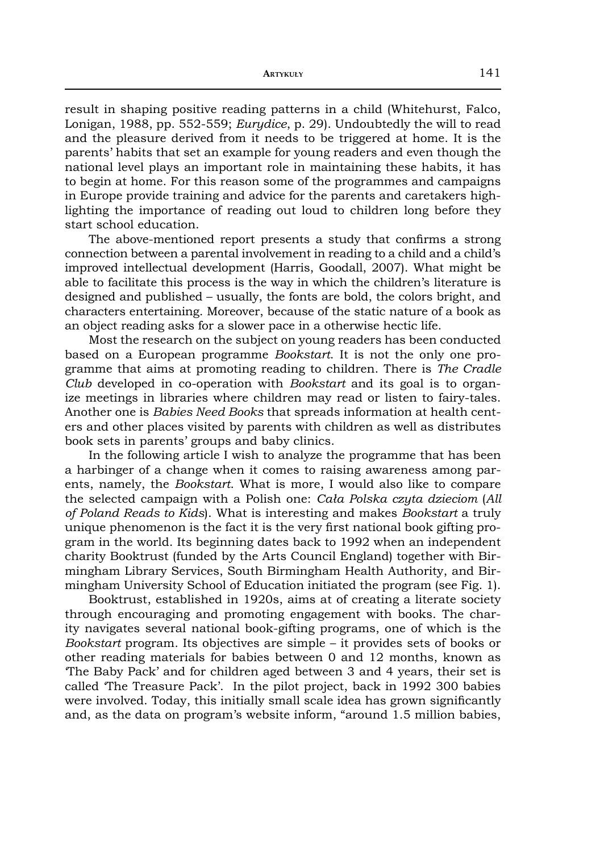result in shaping positive reading patterns in a child (Whitehurst, Falco, Lonigan, 1988, pp. 552-559; *Eurydice*, p. 29). Undoubtedly the will to read and the pleasure derived from it needs to be triggered at home. It is the parents' habits that set an example for young readers and even though the national level plays an important role in maintaining these habits, it has to begin at home. For this reason some of the programmes and campaigns in Europe provide training and advice for the parents and caretakers highlighting the importance of reading out loud to children long before they start school education.

The above-mentioned report presents a study that confirms a strong connection between a parental involvement in reading to a child and a child's improved intellectual development (Harris, Goodall, 2007). What might be able to facilitate this process is the way in which the children's literature is designed and published – usually, the fonts are bold, the colors bright, and characters entertaining. Moreover, because of the static nature of a book as an object reading asks for a slower pace in a otherwise hectic life.

Most the research on the subject on young readers has been conducted based on a European programme *Bookstart*. It is not the only one programme that aims at promoting reading to children. There is *The Cradle Club* developed in co-operation with *Bookstart* and its goal is to organize meetings in libraries where children may read or listen to fairy-tales. Another one is *Babies Need Books* that spreads information at health centers and other places visited by parents with children as well as distributes book sets in parents' groups and baby clinics.

In the following article I wish to analyze the programme that has been a harbinger of a change when it comes to raising awareness among parents, namely, the *Bookstart*. What is more, I would also like to compare the selected campaign with a Polish one: *Cała Polska czyta dzieciom* (*All of Poland Reads to Kids*). What is interesting and makes *Bookstart* a truly unique phenomenon is the fact it is the very first national book gifting program in the world. Its beginning dates back to 1992 when an independent charity Booktrust (funded by the Arts Council England) together with Birmingham Library Services, South Birmingham Health Authority, and Birmingham University School of Education initiated the program (see Fig. 1).

Booktrust, established in 1920s, aims at of creating a literate society through encouraging and promoting engagement with books. The charity navigates several national book-gifting programs, one of which is the *Bookstart* program. Its objectives are simple – it provides sets of books or other reading materials for babies between 0 and 12 months, known as 'The Baby Pack' and for children aged between 3 and 4 years, their set is called 'The Treasure Pack'. In the pilot project, back in 1992 300 babies were involved. Today, this initially small scale idea has grown significantly and, as the data on program's website inform, "around 1.5 million babies,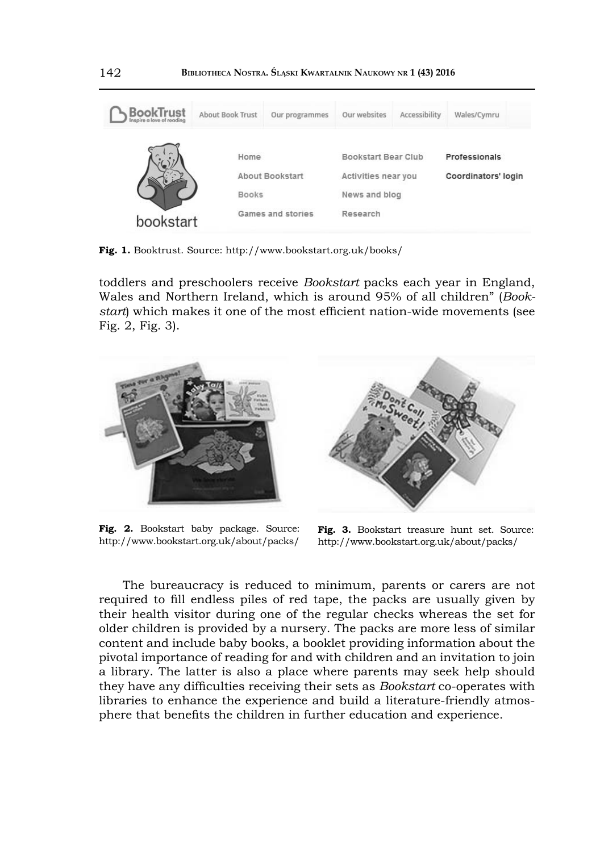| <b>BookTrust</b> | About Book Trust               | Our programmes  | Our websites  | Accessibility       | Wales/Cymru         |  |
|------------------|--------------------------------|-----------------|---------------|---------------------|---------------------|--|
|                  | Home                           |                 |               | Bookstart Bear Club | Professionals       |  |
|                  |                                | About Bookstart |               | Activities near you | Coordinators' login |  |
|                  | <b>Books</b>                   |                 | News and blog |                     |                     |  |
|                  | Games and stories<br>bookstart |                 | Research      |                     |                     |  |

**Fig. 1.** Booktrust. Source: http://www.bookstart.org.uk/books/

toddlers and preschoolers receive *Bookstart* packs each year in England, Wales and Northern Ireland, which is around 95% of all children" (*Bookstart*) which makes it one of the most efficient nation-wide movements (see Fig. 2, Fig. 3).



Fig. 2. Bookstart baby package. Source: http://www.bookstart.org.uk/about/packs/



**Fig. 3.** Bookstart treasure hunt set. Source: http://www.bookstart.org.uk/about/packs/

The bureaucracy is reduced to minimum, parents or carers are not required to fill endless piles of red tape, the packs are usually given by their health visitor during one of the regular checks whereas the set for older children is provided by a nursery. The packs are more less of similar content and include baby books, a booklet providing information about the pivotal importance of reading for and with children and an invitation to join a library. The latter is also a place where parents may seek help should they have any difficulties receiving their sets as *Bookstart* co-operates with libraries to enhance the experience and build a literature-friendly atmosphere that benefits the children in further education and experience.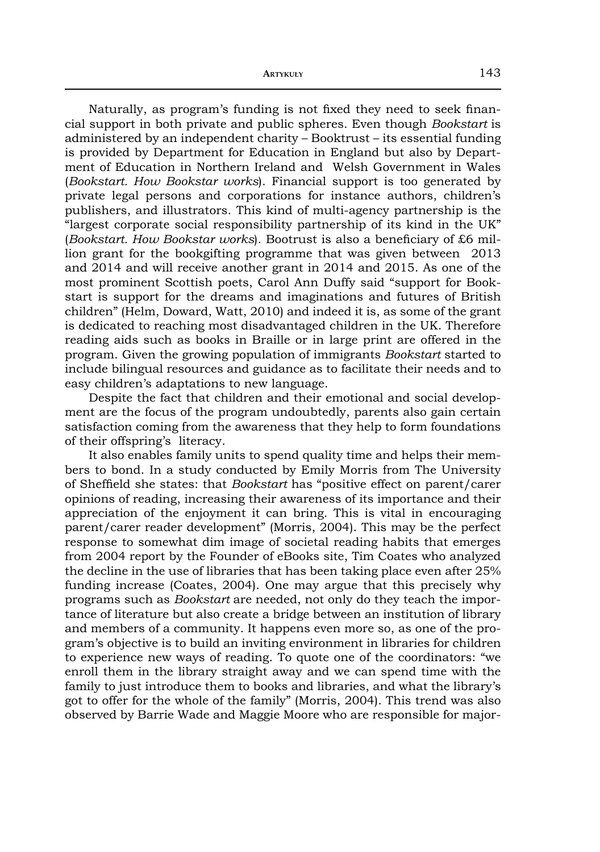Naturally, as program's funding is not fixed they need to seek financial support in both private and public spheres. Even though *Bookstart* is administered by an independent charity – Booktrust – its essential funding is provided by Department for Education in England but also by Department of Education in Northern Ireland and Welsh Government in Wales (*Bookstart. How Bookstar works*). Financial support is too generated by private legal persons and corporations for instance authors, children's publishers, and illustrators. This kind of multi-agency partnership is the "largest corporate social responsibility partnership of its kind in the UK" (*Bookstart. How Bookstar works*). Bootrust is also a beneficiary of £6 million grant for the bookgifting programme that was given between 2013 and 2014 and will receive another grant in 2014 and 2015. As one of the most prominent Scottish poets, Carol Ann Duffy said "support for Bookstart is support for the dreams and imaginations and futures of British children" (Helm, Doward, Watt, 2010) and indeed it is, as some of the grant is dedicated to reaching most disadvantaged children in the UK. Therefore reading aids such as books in Braille or in large print are offered in the program. Given the growing population of immigrants *Bookstart* started to include bilingual resources and guidance as to facilitate their needs and to easy children's adaptations to new language.

Despite the fact that children and their emotional and social development are the focus of the program undoubtedly, parents also gain certain satisfaction coming from the awareness that they help to form foundations of their offspring's literacy.

It also enables family units to spend quality time and helps their members to bond. In a study conducted by Emily Morris from The University of Sheffi eld she states: that *Bookstart* has "positive effect on parent/carer opinions of reading, increasing their awareness of its importance and their appreciation of the enjoyment it can bring. This is vital in encouraging parent/carer reader development" (Morris, 2004). This may be the perfect response to somewhat dim image of societal reading habits that emerges from 2004 report by the Founder of eBooks site, Tim Coates who analyzed the decline in the use of libraries that has been taking place even after 25% funding increase (Coates, 2004). One may argue that this precisely why programs such as *Bookstart* are needed, not only do they teach the importance of literature but also create a bridge between an institution of library and members of a community. It happens even more so, as one of the program's objective is to build an inviting environment in libraries for children to experience new ways of reading. To quote one of the coordinators: "we enroll them in the library straight away and we can spend time with the family to just introduce them to books and libraries, and what the library's got to offer for the whole of the family" (Morris, 2004). This trend was also observed by Barrie Wade and Maggie Moore who are responsible for major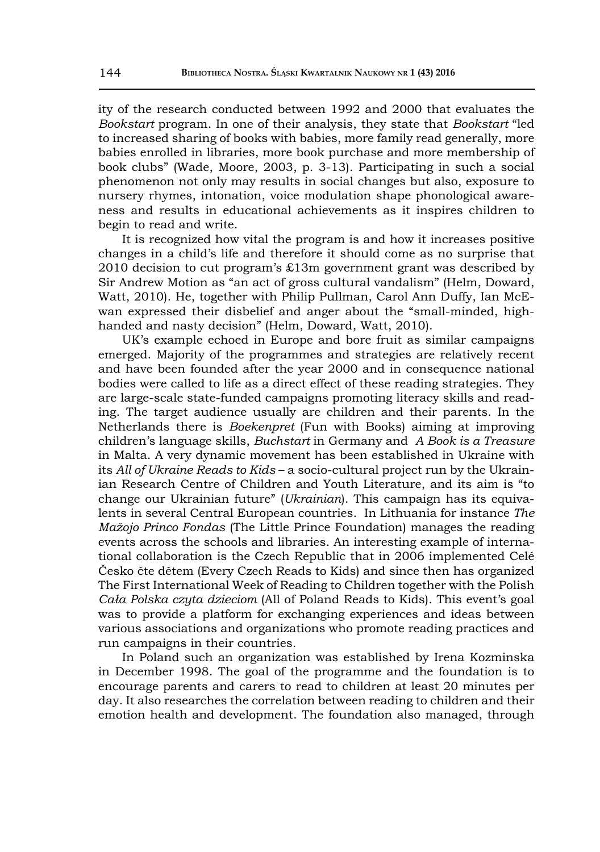ity of the research conducted between 1992 and 2000 that evaluates the *Bookstart* program. In one of their analysis, they state that *Bookstart* "led to increased sharing of books with babies, more family read generally, more babies enrolled in libraries, more book purchase and more membership of book clubs" (Wade, Moore, 2003, p. 3-13). Participating in such a social phenomenon not only may results in social changes but also, exposure to nursery rhymes, intonation, voice modulation shape phonological awareness and results in educational achievements as it inspires children to begin to read and write.

It is recognized how vital the program is and how it increases positive changes in a child's life and therefore it should come as no surprise that 2010 decision to cut program's £13m government grant was described by Sir Andrew Motion as "an act of gross cultural vandalism" (Helm, Doward, Watt, 2010). He, together with Philip Pullman, Carol Ann Duffy, Ian McEwan expressed their disbelief and anger about the "small-minded, highhanded and nasty decision" (Helm, Doward, Watt, 2010).

UK's example echoed in Europe and bore fruit as similar campaigns emerged. Majority of the programmes and strategies are relatively recent and have been founded after the year 2000 and in consequence national bodies were called to life as a direct effect of these reading strategies. They are large-scale state-funded campaigns promoting literacy skills and reading. The target audience usually are children and their parents. In the Netherlands there is *Boekenpret* (Fun with Books) aiming at improving children's language skills, *Buchstart* in Germany and *A Book is a Treasure* in Malta. A very dynamic movement has been established in Ukraine with its *All of Ukraine Reads to Kids* – a socio-cultural project run by the Ukrainian Research Centre of Children and Youth Literature, and its aim is "to change our Ukrainian future" (*Ukrainian*). This campaign has its equivalents in several Central European countries. In Lithuania for instance *The Mažojo Princo Fondas* (The Little Prince Foundation) manages the reading events across the schools and libraries. An interesting example of international collaboration is the Czech Republic that in 2006 implemented Celé Česko čte dětem (Every Czech Reads to Kids) and since then has organized The First International Week of Reading to Children together with the Polish *Cała Polska czyta dzieciom* (All of Poland Reads to Kids). This event's goal was to provide a platform for exchanging experiences and ideas between various associations and organizations who promote reading practices and run campaigns in their countries.

In Poland such an organization was established by Irena Kozminska in December 1998. The goal of the programme and the foundation is to encourage parents and carers to read to children at least 20 minutes per day. It also researches the correlation between reading to children and their emotion health and development. The foundation also managed, through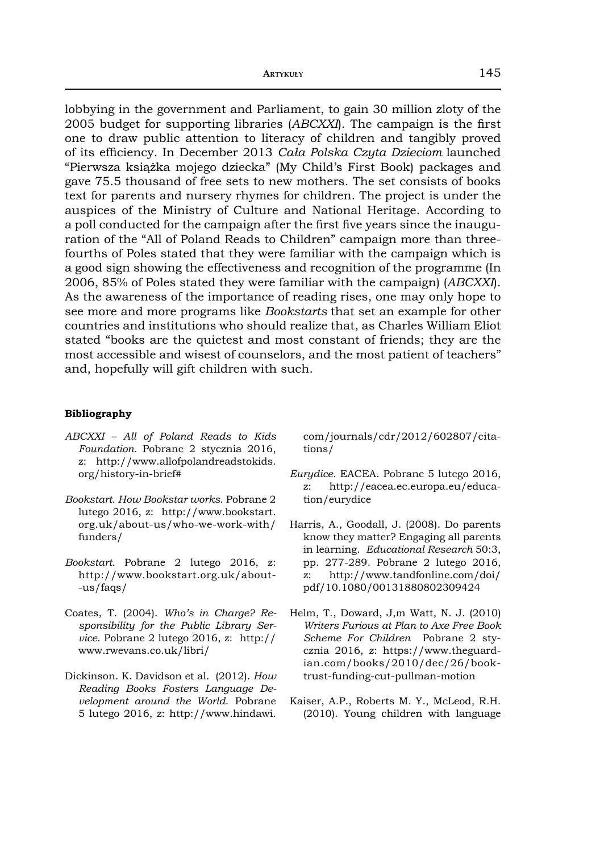lobbying in the government and Parliament, to gain 30 million zloty of the 2005 budget for supporting libraries (*ABCXXI*). The campaign is the first one to draw public attention to literacy of children and tangibly proved of its effi ciency. In December 2013 *Cała Polska Czyta Dzieciom* launched "Pierwsza książka mojego dziecka" (My Child's First Book) packages and gave 75.5 thousand of free sets to new mothers. The set consists of books text for parents and nursery rhymes for children. The project is under the auspices of the Ministry of Culture and National Heritage. According to a poll conducted for the campaign after the first five years since the inauguration of the "All of Poland Reads to Children" campaign more than threefourths of Poles stated that they were familiar with the campaign which is a good sign showing the effectiveness and recognition of the programme (In 2006, 85% of Poles stated they were familiar with the campaign) (*ABCXXI*). As the awareness of the importance of reading rises, one may only hope to see more and more programs like *Bookstarts* that set an example for other countries and institutions who should realize that, as Charles William Eliot stated "books are the quietest and most constant of friends; they are the most accessible and wisest of counselors, and the most patient of teachers" and, hopefully will gift children with such.

## **Bibliography**

- *ABCXXI All of Poland Reads to Kids Foundation.* Pobrane 2 stycznia 2016, z: http://www.allofpolandreadstokids. org/history-in-brief#
- *Bookstart. How Bookstar works*. Pobrane 2 lutego 2016, z: http://www.bookstart. org.uk/about-us/who-we-work-with/ funders/
- *Bookstart.* Pobrane 2 lutego 2016, z: http://www.bookstart.org.uk/about- -us/faqs/
- Coates, T. (2004). *Who's in Charge? Responsibility for the Public Library Service*. Pobrane 2 lutego 2016, z: http:// www.rwevans.co.uk/libri/
- Dickinson. K. Davidson et al. (2012). *How Reading Books Fosters Language Development around the World*. Pobrane 5 lutego 2016, z: http://www.hindawi.

com/journals/cdr/2012/602807/citations/

- *Eurydice*. EACEA. Pobrane 5 lutego 2016, z: http://eacea.ec.europa.eu/education/eurydice
- Harris, A., Goodall, J. (2008). Do parents know they matter? Engaging all parents in learning. *Educational Research* 50:3, pp. 277-289. Pobrane 2 lutego 2016, z: http://www.tandfonline.com/doi/ pdf/10.1080/00131880802309424
- Helm, T., Doward, J,m Watt, N. J. (2010) *Writers Furious at Plan to Axe Free Book Scheme For Children* Pobrane 2 stycznia 2016, z: https://www.theguardian.com/books/2010/dec/26/booktrust-funding-cut-pullman-motion
- Kaiser, A.P., Roberts M. Y., McLeod, R.H. (2010). Young children with language